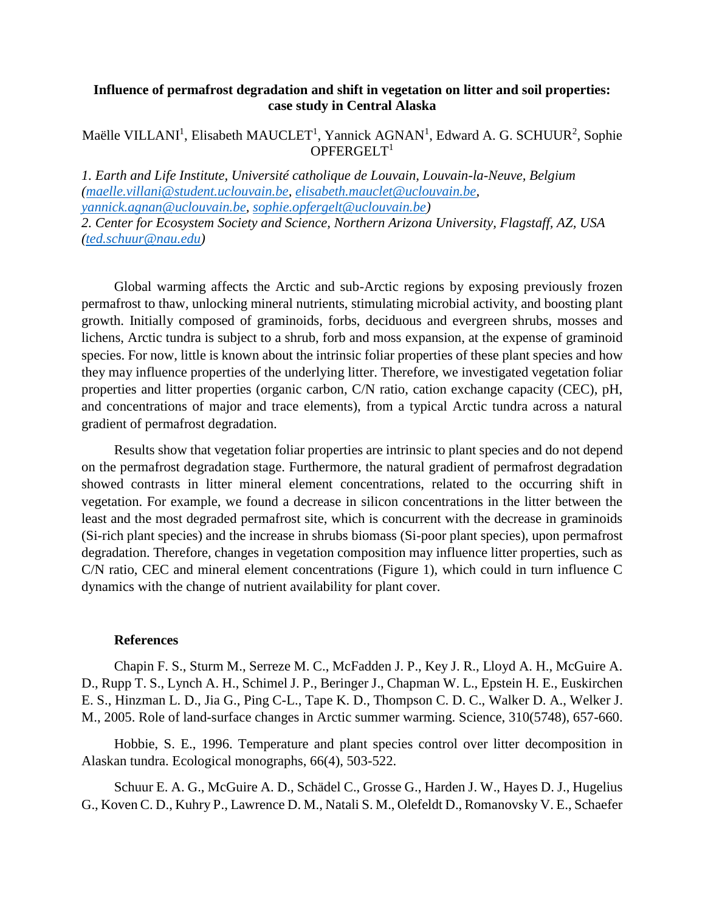## **Influence of permafrost degradation and shift in vegetation on litter and soil properties: case study in Central Alaska**

## Maëlle VILLANI<sup>1</sup>, Elisabeth MAUCLET<sup>1</sup>, Yannick AGNAN<sup>1</sup>, Edward A. G. SCHUUR<sup>2</sup>, Sophie  $OPFERGELT<sup>1</sup>$

*1. Earth and Life Institute, Université catholique de Louvain, Louvain-la-Neuve, Belgium [\(maelle.villani@student.uclouvain.be,](mailto:maelle.villani@student.uclouvain.be) [elisabeth.mauclet@uclouvain.be,](mailto:elisabeth.mauclet@uclouvain.be) [yannick.agnan@uclouvain.be,](mailto:yannick.agnan@uclouvain.be) [sophie.opfergelt@uclouvain.be\)](mailto:sophie.opfergelt@uclouvain.be) 2. Center for Ecosystem Society and Science, Northern Arizona University, Flagstaff, AZ, USA [\(ted.schuur@nau.edu\)](mailto:ted.schuur@nau.edu)*

Global warming affects the Arctic and sub-Arctic regions by exposing previously frozen permafrost to thaw, unlocking mineral nutrients, stimulating microbial activity, and boosting plant growth. Initially composed of graminoids, forbs, deciduous and evergreen shrubs, mosses and lichens, Arctic tundra is subject to a shrub, forb and moss expansion, at the expense of graminoid species. For now, little is known about the intrinsic foliar properties of these plant species and how they may influence properties of the underlying litter. Therefore, we investigated vegetation foliar properties and litter properties (organic carbon, C/N ratio, cation exchange capacity (CEC), pH, and concentrations of major and trace elements), from a typical Arctic tundra across a natural gradient of permafrost degradation.

Results show that vegetation foliar properties are intrinsic to plant species and do not depend on the permafrost degradation stage. Furthermore, the natural gradient of permafrost degradation showed contrasts in litter mineral element concentrations, related to the occurring shift in vegetation. For example, we found a decrease in silicon concentrations in the litter between the least and the most degraded permafrost site, which is concurrent with the decrease in graminoids (Si-rich plant species) and the increase in shrubs biomass (Si-poor plant species), upon permafrost degradation. Therefore, changes in vegetation composition may influence litter properties, such as C/N ratio, CEC and mineral element concentrations (Figure 1), which could in turn influence C dynamics with the change of nutrient availability for plant cover.

## **References**

Chapin F. S., Sturm M., Serreze M. C., McFadden J. P., Key J. R., Lloyd A. H., McGuire A. D., Rupp T. S., Lynch A. H., Schimel J. P., Beringer J., Chapman W. L., Epstein H. E., Euskirchen E. S., Hinzman L. D., Jia G., Ping C-L., Tape K. D., Thompson C. D. C., Walker D. A., Welker J. M., 2005. Role of land-surface changes in Arctic summer warming. Science, 310(5748), 657-660.

Hobbie, S. E., 1996. Temperature and plant species control over litter decomposition in Alaskan tundra. Ecological monographs, 66(4), 503-522.

Schuur E. A. G., McGuire A. D., Schädel C., Grosse G., Harden J. W., Hayes D. J., Hugelius G., Koven C. D., Kuhry P., Lawrence D. M., Natali S. M., Olefeldt D., Romanovsky V. E., Schaefer